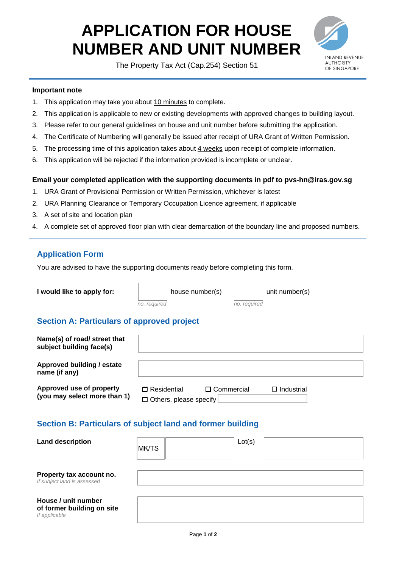# **APPLICATION FOR HOUSE NUMBER AND UNIT NUMBER**

The Property Tax Act (Cap.254) Section 51



#### **Important note**

- 1. This application may take you about 10 minutes to complete.
- 2. This application is applicable to new or existing developments with approved changes to building layout.
- 3. Please refer to our general guidelines on house and unit number before submitting the application.
- 4. The Certificate of Numbering will generally be issued after receipt of URA Grant of Written Permission.
- 5. The processing time of this application takes about 4 weeks upon receipt of complete information.
- 6. This application will be rejected if the information provided is incomplete or unclear.

#### **Email your completed application with the supporting documents in pdf to pvs-hn@iras.gov.sg**

- 1. URA Grant of Provisional Permission or Written Permission, whichever is latest
- 2. URA Planning Clearance or Temporary Occupation Licence agreement, if applicable
- 3. A set of site and location plan
- 4. A complete set of approved floor plan with clear demarcation of the boundary line and proposed numbers.

## **Application Form**

You are advised to have the supporting documents ready before completing this form.

| I would like to apply for: |  |  |  |
|----------------------------|--|--|--|
|                            |  |  |  |

*no. required no. required*

**I** house number(s)  $\vert$  unit number(s)

## **Section A: Particulars of approved project**

| Name(s) of road/ street that<br>subject building face(s) |                                                     |                   |                   |  |
|----------------------------------------------------------|-----------------------------------------------------|-------------------|-------------------|--|
| Approved building / estate<br>name (if any)              |                                                     |                   |                   |  |
| Approved use of property<br>(you may select more than 1) | $\Box$ Residential<br>$\Box$ Others, please specify | $\Box$ Commercial | $\Box$ Industrial |  |

## **Section B: Particulars of subject land and former building**

| <b>Land description</b>                                            | MK/TS | Lot(s) |
|--------------------------------------------------------------------|-------|--------|
| Property tax account no.<br>If subject land is assessed            |       |        |
| House / unit number<br>of former building on site<br>If applicable |       |        |